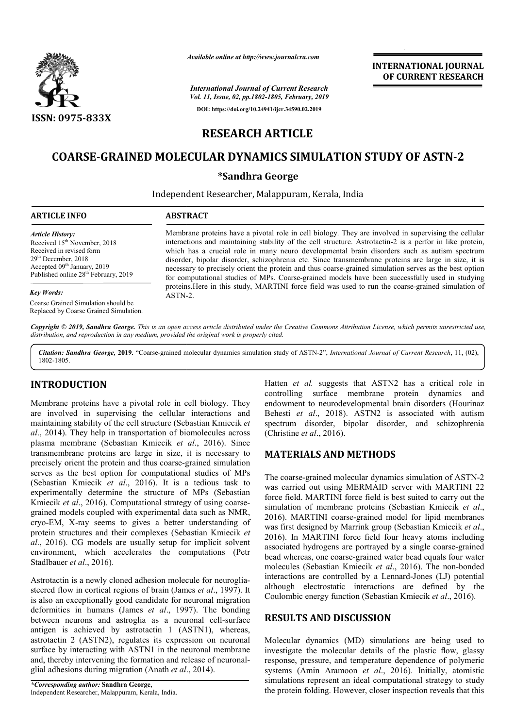

*Available online at http://www.journalcra.com*

*International Journal of Current Research Vol. 11, Issue, 02, pp.1802-1805, February, 2019* **DOI: https://doi.org/10.24941/ijcr.34590.02.2019**

**INTERNATIONAL JOURNAL OF CURRENT RESEARCH**

# **RESEARCH ARTICLE**

# COARSE-GRAINED MOLECULAR DYNAMICS SIMULATION STUDY OF ASTN-2<br><sup>\*</sup>Sandhra George

Independent Researcher, Malappuram, Kerala, India

#### **ARTICLE INFO ABSTRACT** Membrane proteins have a pivotal role in cell biology. They are involved in supervising the cellular interactions and maintaining stability of the cell structure. Astrotactin-2 is a perfor in like protein, which has a crucial role in many neuro developmental brain disorders such as autism spectrum disorder, bipolar dis disorder, schizophrenia etc. Since transmembrane proteins are large in size, it is *Article History:* Received 15<sup>th</sup> November, 2018 Received in revised form 29th December, 2018

Accepted 09<sup>th</sup> January, 2019 Published online 28<sup>th</sup> February, 2019

*Key Words:*

Coarse Grained Simulation should be Replaced by Coarse Grained Simulation. necessary to precisely orient the protein and thus coarse-grained simulation serves as the best option which has a crucial role in many neuro developmental brain disorders such as autism spectrum disorder, bipolar disorder, schizophrenia etc. Since transmembrane proteins are large in size, it is necessary to precisely orien proteins. Here in this study, MARTINI force field was used to run the coarse-grained simulation of ASTN-2.

Copyright © 2019, Sandhra George. This is an open access article distributed under the Creative Commons Attribution License, which permits unrestricted use, *distribution, and reproduction in any medium, provided the original work is properly cited.*

Citation: Sandhra George, 2019. "Coarse-grained molecular dynamics simulation study of ASTN-2", *International Journal of Current Research*, 11, (02), 1802-1805.

## **INTRODUCTION**

Membrane proteins have a pivotal role in cell biology. They are involved in supervising the cellular interactions and maintaining stability of the cell structure (Sebastian Kmiecik et *al*., 2014). They help in transportation of biomolecules across al., 2014). They help in transportation of biomolecules across plasma membrane (Sebastian Kmiecik *et al.*, 2016). Since transmembrane proteins are large in size, it is necessary to precisely orient the protein and thus coarse-grained simulation serves as the best option for computational studies of MPs (Sebastian Kmiecik *et al*., 2016). It is a tedious task to experimentally determine the structure of MPs (Sebastian Kmiecik et al., 2016). Computational strategy of using coarsegrained models coupled with experimental d data such as NMR, cryo-EM, X-ray seems to gives a better understanding of cryo-EM, X-ray seems to gives a better understanding of protein structures and their complexes (Sebastian Kmiecik et *al*., 2016). CG models are usually setup for implicit solvent al., 2016). CG models are usually setup for implicit solvent environment, which accelerates the computations (Petr Stadlbauer *et al*., 2016). tein and thus coarse-grained simulation<br>ion for computational studies of MPs<br>t al., 2016). It is a tedious task to<br>ine the structure of MPs (Sebastian

Astrotactin is a newly cloned adhesion molecule for neurogliasteered flow in cortical regions of brain (James *et al.*, 1997). It is also an exceptionally good candidate for neuronal migration deformities in humans (James et al., 1997). The bonding between neurons and astroglia as a neuronal cell-surface antigen is achieved by astrotactin 1 (ASTN1), whereas, astrotactin 2 (ASTN2), regulates its expression on neuronal surface by interacting with ASTN1 in the neuronal membrane and, thereby intervening the formation and release of neuronalglial adhesions during migration (Anath *et al* ., 2014).

Hatten *et al.* suggests that ASTN2 has a critical role in controlling surface membrane protein dynamics and endowment to neurodevelopmental brain disorders (Hourinaz Behesti *et al*., 2018). ASTN2 is associated with autism spectrum disorder, bipolar disorder, and schizophrenia (Christine *et al*., 2016). suggests that ASTN2 has a critical role in surface membrane protein dynamics and neurodevelopmental brain disorders (Hourinaz

### **MATERIALS AND METHODS METHODS**

The coarse-grained molecular dynamics simulation of ASTN-2 was carried out using MERMAID server with MARTINI 22 force field. MARTINI force field is best suited to carry out the was carried out using MERMAID server with MARTINI 22 force field. MARTINI force field is best suited to carry out the simulation of membrane proteins (Sebastian Kmiecik *et al.*, 2016). MARTINI coarse-grained model for lipid membranes 2016). MARTINI coarse-grained model for lipid membranes was first designed by Marrink group (Sebastian Kmiecik *et al.*, 2016). In MARTINI force field four heavy atoms including 2016). In MARTINI force field four heavy atoms including associated hydrogens are portrayed by a single coarse-grained bead whereas, one coarse-grained water bead equals four water molecules (Sebastian Kmiecik et al., 2016). The non-bonded interactions are controlled by a Lennard-Jones (LJ) potential although electrostatic interactions are defined by the Coulombic energy function (Sebastian Kmiecik et al., 2016). **INTERNATIONAL JOURNAL**<br> **INTERNATIONAL JOURNAL**<br> **IDENTIFY (DEFORENT RESEARCH)**<br> **CF**<br> **CF**<br> **EFFECT ASSEMATE THE CONSTRATE ASSEMATE:**<br> **CF**<br> **CF**<br> **CF**<br> **CF**<br> **CF**<br> **CF**<br> **CF**<br> **CF**<br> **CF**<br> **CF**<br> **CF**<br> **CF**<br> **CF**<br> **CF**<br>

#### **RESULTS AND DISCUSSION**

Molecular dynamics (MD) simulations are being used to Molecular dynamics (MD) simulations are being used to investigate the molecular details of the plastic flow, glassy response, pressure, and temperature dependence of polymeric systems (Amin Aramoon et al., 2016). Initially, atomistic simulations represent an ideal computational strategy to study the protein folding. However, closer inspection reveals that this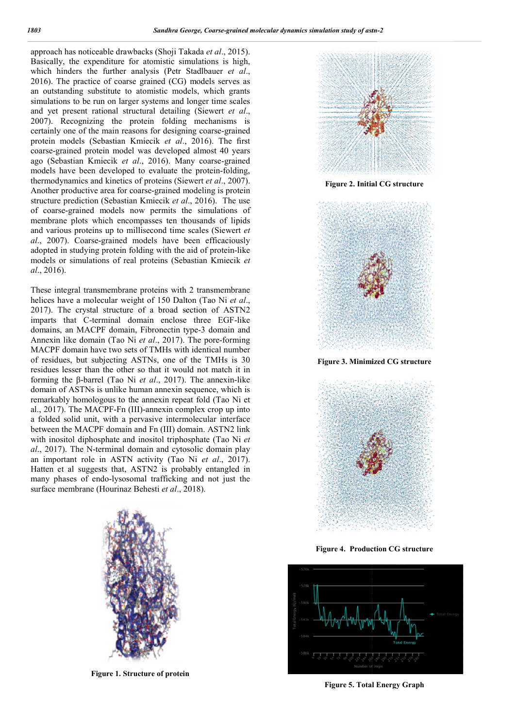approach has noticeable drawbacks (Shoji Takada et al., 2015). Basically, the expenditure for atomistic simulations is high, Basically, the expenditure for atomistic simulations is high, which hinders the further analysis (Petr Stadlbauer *et al.*, 2016). The practice of coarse grained (CG) models serves as an outstanding substitute to atomistic models, which grants simulations to be run on larger systems and longer time scales and yet present rational structural detailing (Siewert *et al*., 2007). Recognizing the protein folding mechanisms is certainly one of the main reasons for designing coarse-grained protein models (Sebastian Kmiecik et al., 2016). The first coarse-grained protein model was developed almost 40 years coarse-grained protein model was developed almost 40 years<br>ago (Sebastian Kmiecik *et al.*, 2016). Many coarse-grained models have been developed to evaluate the protein-folding, thermodynamics and kinetics of proteins (Siewert *et al.*, 2007). Another productive area for coarse-grained modeling is protein structure prediction (Sebastian Kmiecik *et al.*, 2016). The use structure prediction (Sebastian Kmiecik *et al* of coarse-grained models now permits the simulations of membrane plots which encompasses ten thousands of lipids of coarse-grained models now permits the simulations of membrane plots which encompasses ten thousands of lipids and various proteins up to millisecond time scales (Siewert *et al*., 2007). Coarse-grained models have been efficaciously al., 2007). Coarse-grained models have been efficaciously adopted in studying protein folding with the aid of protein-like models or simulations of real proteins (Sebastian Kmiecik et *al*., 2016).

These integral transmembrane proteins with 2 transmembrane helices have a molecular weight of 150 Dalton (Tao Ni *et al*., 2017). The crystal structure of a broad section of ASTN2 imparts that C-terminal domain enclose three EGF-like domains, an MACPF domain, Fibronectin type-3 domain and Annexin like domain (Tao Ni *et al*., 2017). The pore-forming MACPF domain have two sets of TMHs with identical number of residues, but subjecting ASTNs, one of the TMHs is 30 residues lesser than the other so that it would not match it in forming the β-barrel (Tao Ni *et al*., 2017). . The annexin-like domain of ASTNs is unlike human annexin sequence, which is remarkably homologous to the annexin repeat fold (Tao Ni et al., 2017). The MACPF-Fn (III)-annexin complex crop up into al., 2017). The MACPF-Fn (III)-annexin complex crop up into<br>a folded solid unit, with a pervasive intermolecular interface between the MACPF domain and Fn (III) domain. ASTN2 link with inositol diphosphate and inositol triphosphate (Tao Ni *et al*., 2017). The N-terminal domain and cytosolic domain play al., 2017). The N-terminal domain and cytosolic domain play<br>an important role in ASTN activity (Tao Ni et al., 2017). Hatten et al suggests that, ASTN2 is probably entangled in many phases of endo-lysosomal trafficking and not just the many phases of endo-lysosomal trafficking and<br>surface membrane (Hourinaz Behesti *et al.*, 2018).



**Figure 1. Structure of protein**



**Figure 2. Initial CG structure**





**Figure 4. Production CG structure**



**Figure 5. Total Energy Graph**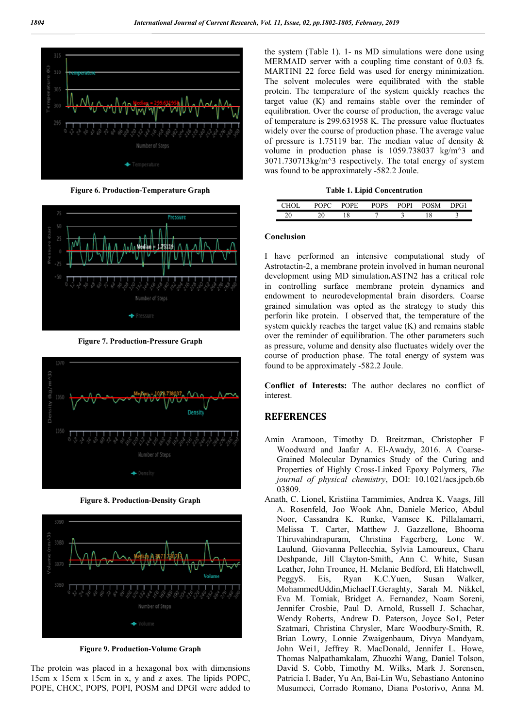

**Figure 6. Production-Temperature Graph**



**Figure 7. Production-Pressure Graph**



**Figure 8. Production-Density Graph**



**Figure 9. Production-Volume Graph**

The protein was placed in a hexagonal box with dimensions 15cm x 15cm x 15cm in x, y and z axes. The lipids POPC, POPE, CHOC, POPS, POPI, POSM and DPGI were added to the system (Table 1). 1- ns MD simulations were done using MERMAID server with a coupling time constant of 0.03 fs. MARTINI 22 force field was used for energy minimization. The solvent molecules were equilibrated with the stable protein. The temperature of the system quickly reaches the target value (K) and remains stable over the reminder of equilibration. Over the course of production, the average value of temperature is 299.631958 K. The pressure value fluctuates widely over the course of production phase. The average value of pressure is 1.75119 bar. The median value of density & volume in production phase is 1059.738037 kg/m^3 and 3071.730713kg/m^3 respectively. The total energy of system was found to be approximately -582.2 Joule.

**Table 1. Lipid Concentration**

| $CH$ $\cap$ <sub>I</sub> | $\rho \Omega$ | <b>POPE</b> | POPS | <b>POPI</b> | <b>POSM</b> | DPG1 |
|--------------------------|---------------|-------------|------|-------------|-------------|------|
|                          |               |             |      |             |             |      |

#### **Conclusion**

I have performed an intensive computational study of Astrotactin-2, a membrane protein involved in human neuronal development using MD simulation**.**ASTN2 has a critical role in controlling surface membrane protein dynamics and endowment to neurodevelopmental brain disorders. Coarse grained simulation was opted as the strategy to study this perforin like protein. I observed that, the temperature of the system quickly reaches the target value (K) and remains stable over the reminder of equilibration. The other parameters such as pressure, volume and density also fluctuates widely over the course of production phase. The total energy of system was found to be approximately -582.2 Joule.

**Conflict of Interests:** The author declares no conflict of interest.

#### **REFERENCES**

- Amin Aramoon, Timothy D. Breitzman, Christopher F Woodward and Jaafar A. El-Awady, 2016. A Coarse-Grained Molecular Dynamics Study of the Curing and Properties of Highly Cross-Linked Epoxy Polymers, *The journal of physical chemistry*, DOI: 10.1021/acs.jpcb.6b 03809.
- Anath, C. Lionel, Kristiina Tammimies, Andrea K. Vaags, Jill A. Rosenfeld, Joo Wook Ahn, Daniele Merico, Abdul Noor, Cassandra K. Runke, Vamsee K. Pillalamarri, Melissa T. Carter, Matthew J. Gazzellone, Bhooma Thiruvahindrapuram, Christina Fagerberg, Lone W. Laulund, Giovanna Pellecchia, Sylvia Lamoureux, Charu Deshpande, Jill Clayton-Smith, Ann C. White, Susan Leather, John Trounce, H. Melanie Bedford, Eli Hatchwell, PeggyS. Eis, Ryan K.C.Yuen, Susan Walker, MohammedUddin,MichaelT.Geraghty, Sarah M. Nikkel, Eva M. Tomiak, Bridget A. Fernandez, Noam Soreni, Jennifer Crosbie, Paul D. Arnold, Russell J. Schachar, Wendy Roberts, Andrew D. Paterson, Joyce So1, Peter Szatmari, Christina Chrysler, Marc Woodbury-Smith, R. Brian Lowry, Lonnie Zwaigenbaum, Divya Mandyam, John Wei1, Jeffrey R. MacDonald, Jennifer L. Howe, Thomas Nalpathamkalam, Zhuozhi Wang, Daniel Tolson, David S. Cobb, Timothy M. Wilks, Mark J. Sorensen, Patricia I. Bader, Yu An, Bai-Lin Wu, Sebastiano Antonino Musumeci, Corrado Romano, Diana Postorivo, Anna M.